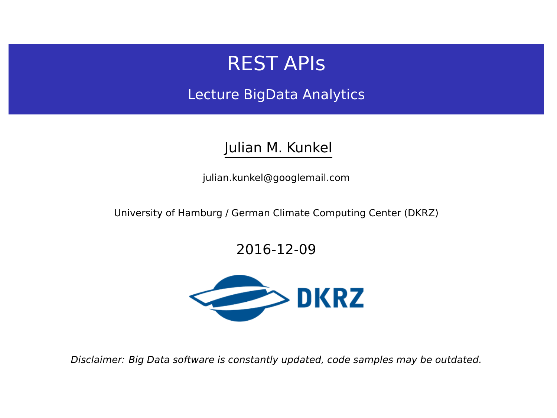# REST APIs

Lecture BigData Analytics

### Julian M. Kunkel

<julian.kunkel@googlemail.com>

University of Hamburg / German Climate Computing Center (DKRZ)

### 2016-12-09



Disclaimer: Big Data software is constantly updated, code samples may be outdated.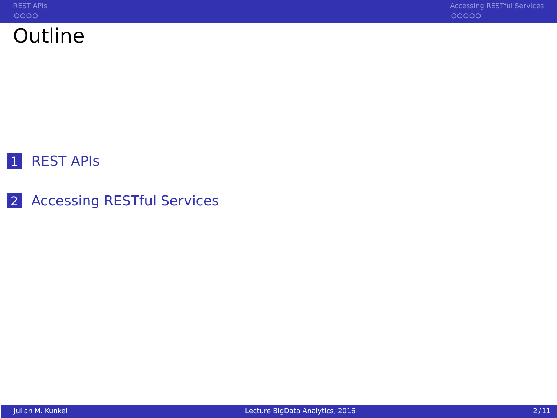

# 1 REST APIS

2 [Accessing RESTful Services](#page-6-0)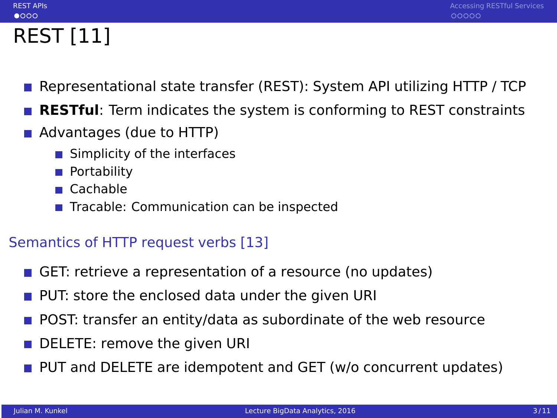# REST [11]

<span id="page-2-0"></span> $0000$ 

- Representational state transfer (REST): System API utilizing HTTP / TCP
- **RESTful**: Term indicates the system is conforming to REST constraints
- Advantages (due to HTTP)
	- Simplicity of the interfaces
	- **Portability**
	- Cachable
	- Tracable: Communication can be inspected

### Semantics of HTTP request verbs [13]

- GET: retrieve a representation of a resource (no updates)
- **PUT:** store the enclosed data under the given URI
- **POST:** transfer an entity/data as subordinate of the web resource
- DELETE: remove the given URI
- **PUT** and DELETE are idempotent and GET (w/o concurrent updates)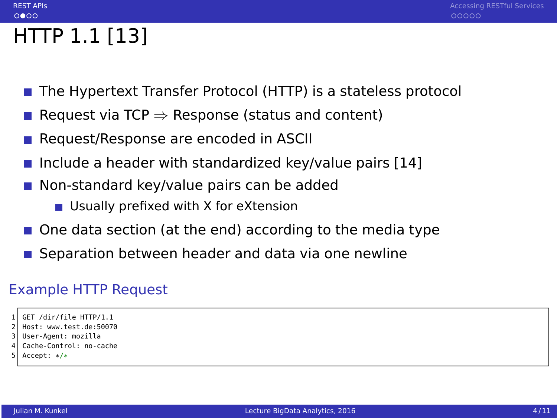# HTTP 1.1 [13]

 $0000$ 

- The Hypertext Transfer Protocol (HTTP) is a stateless protocol
- Request via TCP  $\Rightarrow$  Response (status and content)
- Request/Response are encoded in ASCII
- Include a header with standardized key/value pairs  $[14]$
- Non-standard key/value pairs can be added
	- Usually prefixed with X for eXtension
- One data section (at the end) according to the media type
- Separation between header and data via one newline

### Example HTTP Request

```
GET /dir/file HTTP/1.1
```

```
2 Host: www.test.de:50070
```
- 3 User-Agent: mozilla
- Cache-Control: no-cache
- Accept: \*/\*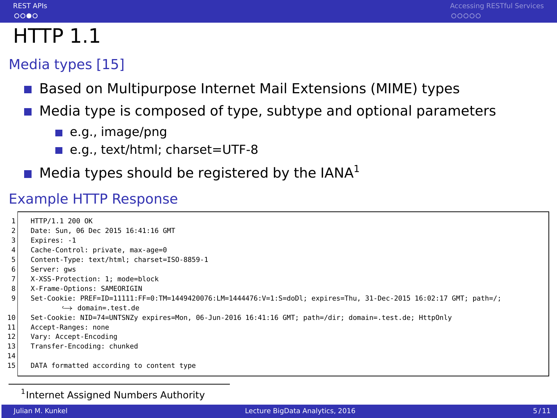# $0000$

# $HTTP$  1.1

### Media types [15]

- Based on Multipurpose Internet Mail Extensions (MIME) types
- Media type is composed of type, subtype and optional parameters
	- $\blacksquare$  e.g., image/png
	- e.g., text/html; charset=UTF-8
- $\blacksquare$  Media types should be registered by the IANA<sup>1</sup>

### Example HTTP Response

|                | HTTP/1.1 200 OK                                                                                                     |
|----------------|---------------------------------------------------------------------------------------------------------------------|
|                | Date: Sun. 06 Dec 2015 16:41:16 GMT                                                                                 |
| 3              | Expires: -1                                                                                                         |
| 4              | Cache-Control: private, max-age=0                                                                                   |
| 5              | Content-Type: text/html; charset=ISO-8859-1                                                                         |
| 6              | Server: qws                                                                                                         |
| $\overline{7}$ | X-XSS-Protection: 1: mode=block                                                                                     |
| 8              | X-Frame-Options: SAMEORIGIN                                                                                         |
| 9              | :/Set-Cookie: PREF=ID=11111:FF=0:TM=1449420076:LM=1444476:V=1:S=doDl: expires=Thu. 31-Dec-2015 16:02:17 GMT: path=/ |
|                | $\leftrightarrow$ domain= test de                                                                                   |
| 10             | Set-Cookie: NID=74=UNTSNZy expires=Mon, 06-Jun-2016 16:41:16 GMT; path=/dir; domain=.test.de; HttpOnly              |
| 11             | Accept-Ranges: none                                                                                                 |
| 12             | Vary: Accept-Encoding                                                                                               |
| 13             | Transfer-Encoding: chunked                                                                                          |
| 14             |                                                                                                                     |
| 15             | DATA formatted according to content type                                                                            |
|                |                                                                                                                     |

#### <sup>1</sup> Internet Assigned Numbers Authority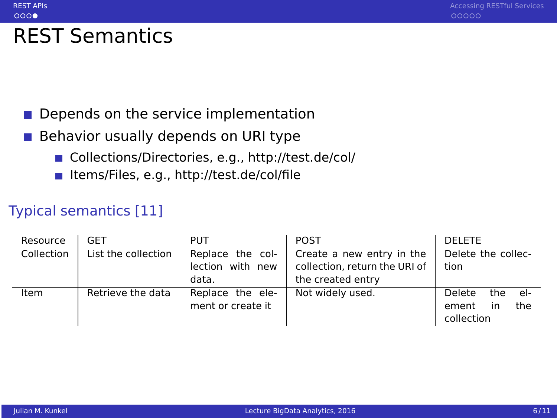# REST Semantics

 $0000$ 

#### Depends on the service implementation  $\sim$

- Behavior usually depends on URI type  $\sim$ 
	- Collections/Directories, e.g.,<http://test.de/col/>
	- Items/Files, e.g.,<http://test.de/col/file>

### Typical semantics [11]

| Resource   | GET                 | <b>PUT</b>                                    | <b>POST</b>                                                                     | <b>DELETE</b>                                              |
|------------|---------------------|-----------------------------------------------|---------------------------------------------------------------------------------|------------------------------------------------------------|
| Collection | List the collection | Replace the col-<br>lection with new<br>data. | Create a new entry in the<br>collection, return the URI of<br>the created entry | Delete the collec-<br>tion                                 |
| Item       | Retrieve the data   | Replace the ele-<br>ment or create it         | Not widely used.                                                                | Delete<br>the<br>- el-<br>the<br>ement<br>in<br>collection |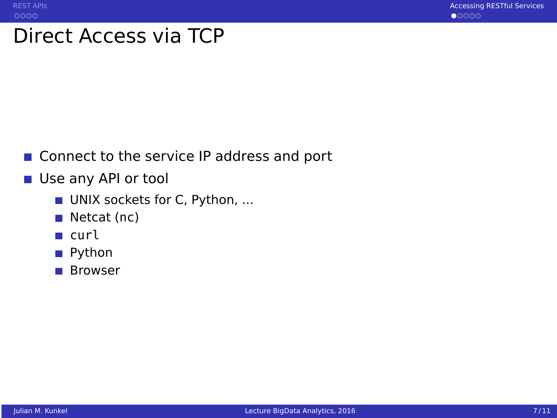# <span id="page-6-0"></span>Direct Access via TCP

- Connect to the service IP address and port
- Use any API or tool
	- UNIX sockets for C, Python, ...
	- $\blacksquare$  Netcat (nc)
	- **■** curl
	- Python
	- Browser T T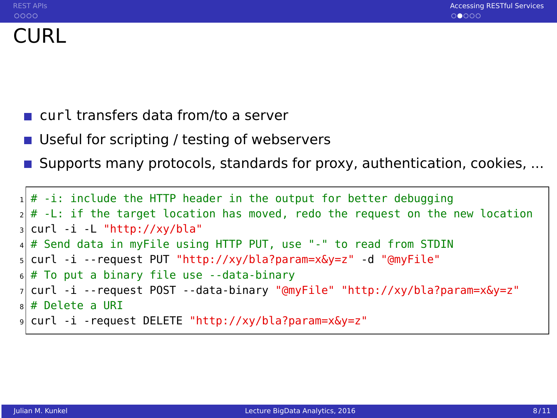- curl transfers data from/to a server
- Useful for scripting / testing of webservers
- **Supports many protocols, standards for proxy, authentication, cookies, ...**

```
1 \nmid # -i: include the HTTP header in the output for better debugging
 # -L: if the target location has moved, redo the request on the new location
 curl -i -L "http://xy/bla"
4 # Send data in myFile using HTTP PUT, use "-" to read from STDIN
5 curl -i --request PUT "http://xy/bla?param=x&y=z" -d "@myFile"
\frac{1}{2} # To put a binary file use --data-binary
7 curl -i --request POST --data-binary "@myFile" "http://xy/bla?param=x&y=z"
8 # Delete a URI
 9 curl -i -request DELETE "http://xy/bla?param=x&y=z"
```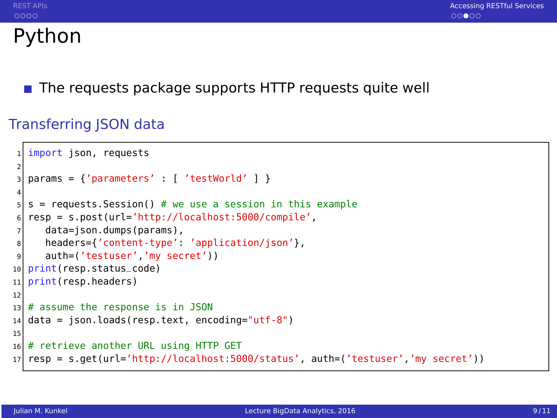# Python

The requests package supports HTTP requests quite well

### Transferring JSON data

```
import json, requests
2
  params = {'parameters' : [ 'testWorld' ] }4
  s = requests. Session() # we use a session in this example
  6 resp = s.post(url='http://localhost:5000/compile',
     data=json.dumps(params),
8 headers={'content-type': 'application/json'},
9 auth=('testuser','my secret'))
10 print(resp.status_code)
11 print(resp.headers)
12
13 \# assume the response is in JSON
14 data = json.loads(resp.text, encoding="utf-8")
15
16 # retrieve another URL using HTTP GET
17 resp = s.get(url='http://localhost:5000/status', auth=('testuser','my secret'))
```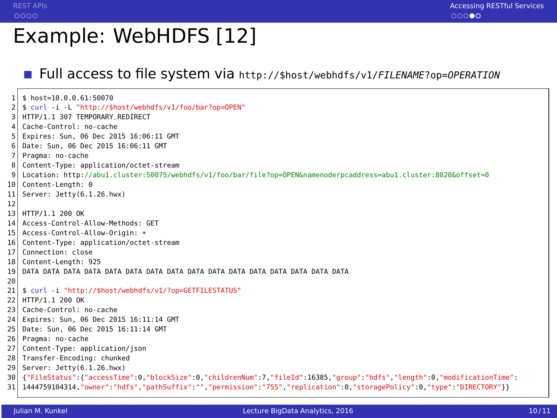# Example: WebHDFS [12]

### Full access to file system via  $http://$host/webpdfs/v1/FILENAME?op=0PERATION$

 $$ host=10.0.0.61:50070$ 2 \$ curl -i -L "http://\$host/webhdfs/v1/foo/bar?op=OPEN" HTTP/1.1 307 TEMPORARY\_REDIRECT 4 Cache-Control: no-cache 5 Expires: Sun, 06 Dec 2015 16:06:11 GMT 6 Date: Sun, 06 Dec 2015 16:06:11 GMT 7 Pragma: no-cache Content-Type: application/octet-stream 9 Location: http://abu1.cluster:50075/webhdfs/v1/foo/bar/file?op=OPEN&namenoderpcaddress=abu1.cluster:8020&offset=0 10 Content-Length: 0 11 Server: Jetty(6.1.26.hwx) 12 13 HTTP/1.1 200 OK 14 Access-Control-Allow-Methods: GET 15 Access-Control-Allow-Origin: \*<br>16 Content-Type: application/octe 16 Content-Type: application/octet-stream 17 Connection: close 18 Content-Length: 925 19 DATA DATA DATA DATA DATA DATA DATA DATA DATA DATA DATA DATA DATA DATA DATA DATA 20 21 \$ curl -i "http://\$host/webhdfs/v1/?op=GETFILESTATUS" 22 HTTP/1.1 200 OK 23 Cache-Control: no-cache 24 Expires: Sun, 06 Dec 2015 16:11:14 GMT 25 Date: Sun, 06 Dec 2015 16:11:14 GMT 26 Pragma: no-cache 27 Content-Type: application/json 28 Transfer-Encoding: chunked 29 Server: Jetty(6.1.26.hwx) 30 {"FileStatus":{"accessTime":0,"blockSize":0,"childrenNum":7,"fileId":16385,"group":"hdfs","length":0,"modificationTime": 31 1444759104314,"owner":"hdfs","pathSuffix":"","permission":"755","replication":0,"storagePolicy":0,"type":"DIRECTORY"}}